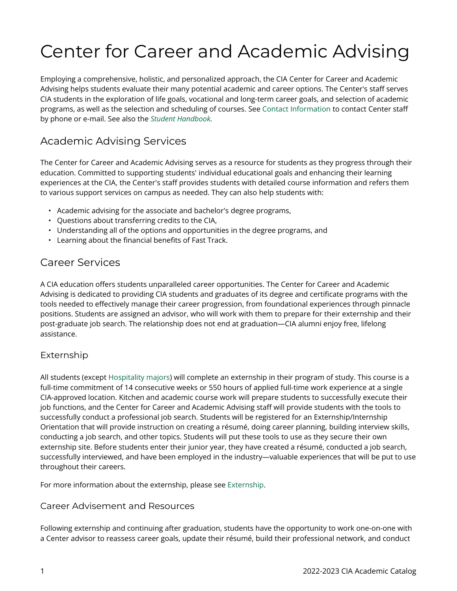# Center for Career and Academic Advising

Employing a comprehensive, holistic, and personalized approach, the CIA Center for Career and Academic Advising helps students evaluate their many potential academic and career options. The Center's staff serves CIA students in the exploration of life goals, vocational and long-term career goals, and selection of academic programs, as well as the selection and scheduling of courses. See [Contact Information](https://live-cia-catalog22.cleancatalog.io/20222023-undergraduate-and-graduate-catalog/contact-information) to contact Center staff by phone or e-mail. See also the *[Student Handbook](https://live-cia-catalog22.cleancatalog.io/student-handbook).* 

## Academic Advising Services

The Center for Career and Academic Advising serves as a resource for students as they progress through their education. Committed to supporting students' individual educational goals and enhancing their learning experiences at the CIA, the Center's staff provides students with detailed course information and refers them to various support services on campus as needed. They can also help students with:

- Academic advising for the associate and bachelor's degree programs,
- Questions about transferring credits to the CIA,
- Understanding all of the options and opportunities in the degree programs, and
- Learning about the financial benefits of Fast Track.

### Career Services

A CIA education offers students unparalleled career opportunities. The Center for Career and Academic Advising is dedicated to providing CIA students and graduates of its degree and certificate programs with the tools needed to effectively manage their career progression, from foundational experiences through pinnacle positions. Students are assigned an advisor, who will work with them to prepare for their externship and their post-graduate job search. The relationship does not end at graduation—CIA alumni enjoy free, lifelong assistance.

#### Externship

All students (except [Hospitality majors\)](https://live-cia-catalog22.cleancatalog.io/hospitality/bachelor-of-science-bs/hospitality-management-bs-ny) will complete an externship in their program of study. This course is a full-time commitment of 14 consecutive weeks or 550 hours of applied full-time work experience at a single CIA-approved location. Kitchen and academic course work will prepare students to successfully execute their job functions, and the Center for Career and Academic Advising staff will provide students with the tools to successfully conduct a professional job search. Students will be registered for an Externship/Internship Orientation that will provide instruction on creating a résumé, doing career planning, building interview skills, conducting a job search, and other topics. Students will put these tools to use as they secure their own externship site. Before students enter their junior year, they have created a résumé, conducted a job search, successfully interviewed, and have been employed in the industry—valuable experiences that will be put to use throughout their careers.

For more information about the externship, please see [Externship.](https://live-cia-catalog22.cleancatalog.io/20222023-undergraduate-and-graduate-catalog/externship)

#### Career Advisement and Resources

Following externship and continuing after graduation, students have the opportunity to work one-on-one with a Center advisor to reassess career goals, update their résumé, build their professional network, and conduct